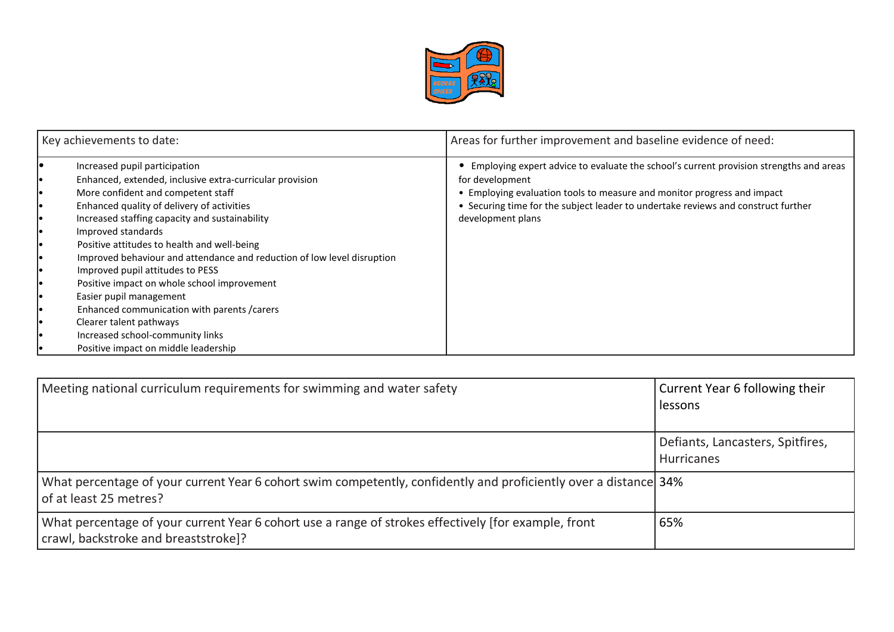

| Key achievements to date:              |                                                                                                                                                                                                                                                                                                                                                                                                                                                                                                                                                                                                                                                      | Areas for further improvement and baseline evidence of need:                                                                                                                                                                                                                                   |  |  |
|----------------------------------------|------------------------------------------------------------------------------------------------------------------------------------------------------------------------------------------------------------------------------------------------------------------------------------------------------------------------------------------------------------------------------------------------------------------------------------------------------------------------------------------------------------------------------------------------------------------------------------------------------------------------------------------------------|------------------------------------------------------------------------------------------------------------------------------------------------------------------------------------------------------------------------------------------------------------------------------------------------|--|--|
| I۰<br>ıо<br>ıо<br>I۰<br>I۰<br>ıо<br>ıо | Increased pupil participation<br>Enhanced, extended, inclusive extra-curricular provision<br>More confident and competent staff<br>Enhanced quality of delivery of activities<br>Increased staffing capacity and sustainability<br>Improved standards<br>Positive attitudes to health and well-being<br>Improved behaviour and attendance and reduction of low level disruption<br>Improved pupil attitudes to PESS<br>Positive impact on whole school improvement<br>Easier pupil management<br>Enhanced communication with parents / carers<br>Clearer talent pathways<br>Increased school-community links<br>Positive impact on middle leadership | Employing expert advice to evaluate the school's current provision strengths and areas<br>for development<br>• Employing evaluation tools to measure and monitor progress and impact<br>• Securing time for the subject leader to undertake reviews and construct further<br>development plans |  |  |

| Meeting national curriculum requirements for swimming and water safety                                                                       | Current Year 6 following their<br>lessons             |
|----------------------------------------------------------------------------------------------------------------------------------------------|-------------------------------------------------------|
|                                                                                                                                              | Defiants, Lancasters, Spitfires,<br><b>Hurricanes</b> |
| What percentage of your current Year 6 cohort swim competently, confidently and proficiently over a distance 34%<br>of at least 25 metres?   |                                                       |
| What percentage of your current Year 6 cohort use a range of strokes effectively [for example, front<br>crawl, backstroke and breaststroke]? | 65%                                                   |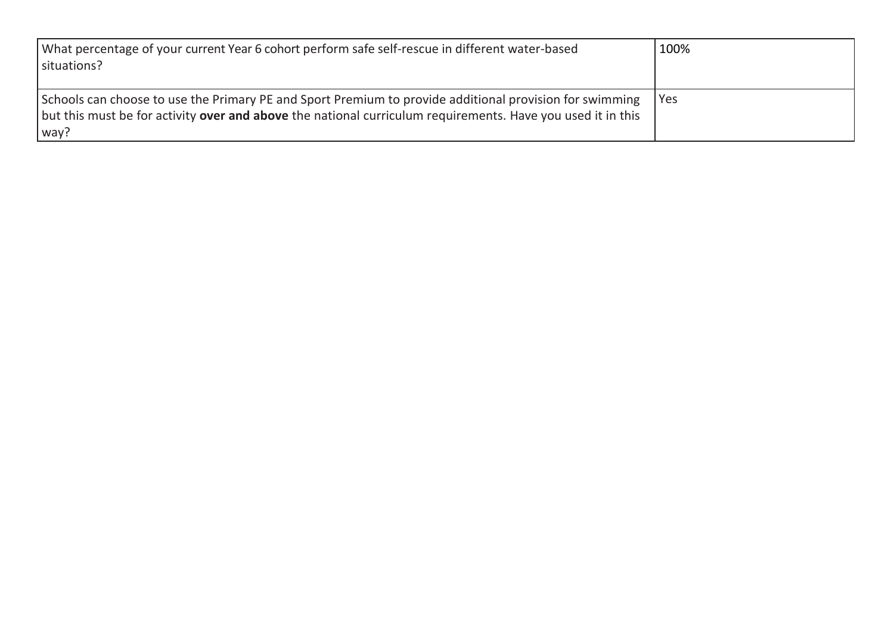| What percentage of your current Year 6 cohort perform safe self-rescue in different water-based<br>situations?                                                                                                                 | 100%  |
|--------------------------------------------------------------------------------------------------------------------------------------------------------------------------------------------------------------------------------|-------|
| Schools can choose to use the Primary PE and Sport Premium to provide additional provision for swimming<br>but this must be for activity over and above the national curriculum requirements. Have you used it in this<br>way? | l Yes |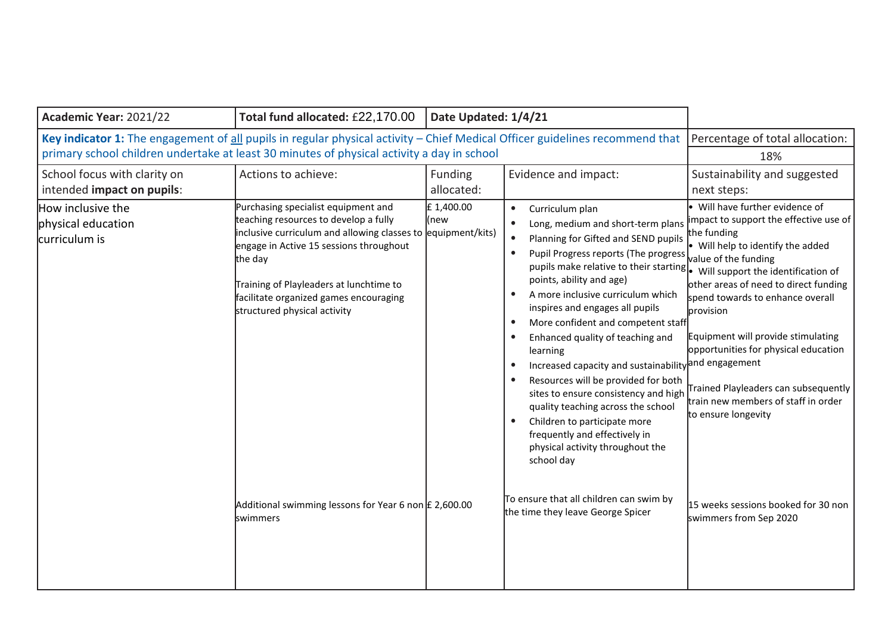| Academic Year: 2021/22                                                                                                                                                                                                     | Total fund allocated: £22,170.00                                                                                                                                                                                                                                                                                                                                                                      | Date Updated: 1/4/21  |                                                                                                                                                                                                                                                                                                                                                                                                                                                                                                                                                                                                                                                                                                                                                                                                                                                                                                       |                                                                                                                                                                                                                                                                                                                                                                                                                                                                                                      |
|----------------------------------------------------------------------------------------------------------------------------------------------------------------------------------------------------------------------------|-------------------------------------------------------------------------------------------------------------------------------------------------------------------------------------------------------------------------------------------------------------------------------------------------------------------------------------------------------------------------------------------------------|-----------------------|-------------------------------------------------------------------------------------------------------------------------------------------------------------------------------------------------------------------------------------------------------------------------------------------------------------------------------------------------------------------------------------------------------------------------------------------------------------------------------------------------------------------------------------------------------------------------------------------------------------------------------------------------------------------------------------------------------------------------------------------------------------------------------------------------------------------------------------------------------------------------------------------------------|------------------------------------------------------------------------------------------------------------------------------------------------------------------------------------------------------------------------------------------------------------------------------------------------------------------------------------------------------------------------------------------------------------------------------------------------------------------------------------------------------|
| Key indicator 1: The engagement of all pupils in regular physical activity - Chief Medical Officer guidelines recommend that<br>primary school children undertake at least 30 minutes of physical activity a day in school | Percentage of total allocation:<br>18%                                                                                                                                                                                                                                                                                                                                                                |                       |                                                                                                                                                                                                                                                                                                                                                                                                                                                                                                                                                                                                                                                                                                                                                                                                                                                                                                       |                                                                                                                                                                                                                                                                                                                                                                                                                                                                                                      |
| School focus with clarity on<br>intended impact on pupils:                                                                                                                                                                 | Actions to achieve:                                                                                                                                                                                                                                                                                                                                                                                   | Funding<br>allocated: | Evidence and impact:                                                                                                                                                                                                                                                                                                                                                                                                                                                                                                                                                                                                                                                                                                                                                                                                                                                                                  | Sustainability and suggested<br>next steps:                                                                                                                                                                                                                                                                                                                                                                                                                                                          |
| How inclusive the<br>physical education<br>curriculum is                                                                                                                                                                   | Purchasing specialist equipment and<br>teaching resources to develop a fully<br>inclusive curriculum and allowing classes to equipment/kits)<br>engage in Active 15 sessions throughout<br>the day<br>Training of Playleaders at lunchtime to<br>facilitate organized games encouraging<br>structured physical activity<br>Additional swimming lessons for Year 6 non $E$ 2,600.00<br><b>swimmers</b> | £1,400.00<br>(new     | Curriculum plan<br>$\bullet$<br>Long, medium and short-term plans<br>$\bullet$<br>Planning for Gifted and SEND pupils<br>$\bullet$<br>Pupil Progress reports (The progress<br>$\bullet$<br>pupils make relative to their starting  . Will support the identification of<br>points, ability and age)<br>A more inclusive curriculum which<br>$\bullet$<br>inspires and engages all pupils<br>More confident and competent staff<br>$\bullet$<br>Enhanced quality of teaching and<br>$\bullet$<br>learning<br>Increased capacity and sustainability and engagement<br>Resources will be provided for both<br>$\bullet$<br>sites to ensure consistency and high<br>quality teaching across the school<br>Children to participate more<br>frequently and effectively in<br>physical activity throughout the<br>school day<br>To ensure that all children can swim by<br>the time they leave George Spicer | . Will have further evidence of<br>impact to support the effective use of<br>the funding<br>• Will help to identify the added<br>value of the funding<br>other areas of need to direct funding<br>spend towards to enhance overall<br>provision<br>Equipment will provide stimulating<br>opportunities for physical education<br>Trained Playleaders can subsequently<br>train new members of staff in order<br>to ensure longevity<br>15 weeks sessions booked for 30 non<br>swimmers from Sep 2020 |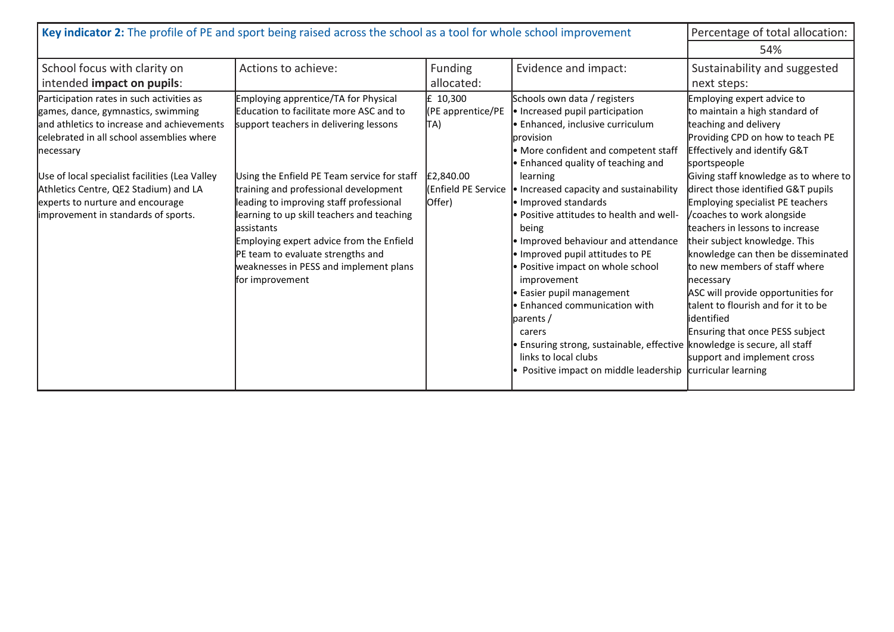| Key indicator 2: The profile of PE and sport being raised across the school as a tool for whole school improvement                                                                                                                                                                                                                                            | Percentage of total allocation:<br>54%                                                                                                                                                                                                                                                                                                                                                                                                                                  |                                                                                     |                                                                                                                                                                                                                                                                                                                                                                                                                                                                                                                                                                                                                                                                                                     |                                                                                                                                                                                                                                                                                                                                                                                                                                                                                                                                                                                                                                                                         |
|---------------------------------------------------------------------------------------------------------------------------------------------------------------------------------------------------------------------------------------------------------------------------------------------------------------------------------------------------------------|-------------------------------------------------------------------------------------------------------------------------------------------------------------------------------------------------------------------------------------------------------------------------------------------------------------------------------------------------------------------------------------------------------------------------------------------------------------------------|-------------------------------------------------------------------------------------|-----------------------------------------------------------------------------------------------------------------------------------------------------------------------------------------------------------------------------------------------------------------------------------------------------------------------------------------------------------------------------------------------------------------------------------------------------------------------------------------------------------------------------------------------------------------------------------------------------------------------------------------------------------------------------------------------------|-------------------------------------------------------------------------------------------------------------------------------------------------------------------------------------------------------------------------------------------------------------------------------------------------------------------------------------------------------------------------------------------------------------------------------------------------------------------------------------------------------------------------------------------------------------------------------------------------------------------------------------------------------------------------|
| School focus with clarity on<br>intended impact on pupils:                                                                                                                                                                                                                                                                                                    | Actions to achieve:                                                                                                                                                                                                                                                                                                                                                                                                                                                     | <b>Funding</b><br>allocated:                                                        | Evidence and impact:                                                                                                                                                                                                                                                                                                                                                                                                                                                                                                                                                                                                                                                                                | Sustainability and suggested<br>next steps:                                                                                                                                                                                                                                                                                                                                                                                                                                                                                                                                                                                                                             |
| Participation rates in such activities as<br>games, dance, gymnastics, swimming<br>and athletics to increase and achievements<br>celebrated in all school assemblies where<br>necessary<br>Use of local specialist facilities (Lea Valley<br>Athletics Centre, QE2 Stadium) and LA<br>experts to nurture and encourage<br>improvement in standards of sports. | Employing apprentice/TA for Physical<br>Education to facilitate more ASC and to<br>support teachers in delivering lessons<br>Using the Enfield PE Team service for staff<br>training and professional development<br>leading to improving staff professional<br>learning to up skill teachers and teaching<br>lassistants<br>Employing expert advice from the Enfield<br>PE team to evaluate strengths and<br>weaknesses in PESS and implement plans<br>for improvement | £ 10,300<br>(PE apprentice/PE<br>TA)<br>£2,840.00<br>l(Enfield PE Service<br>Offer) | Schools own data / registers<br>• Increased pupil participation<br>· Enhanced, inclusive curriculum<br>provision<br>• More confident and competent staff<br>• Enhanced quality of teaching and<br>learning<br>• Increased capacity and sustainability<br>· Improved standards<br>• Positive attitudes to health and well-<br>being<br>• Improved behaviour and attendance<br>. Improved pupil attitudes to PE<br>• Positive impact on whole school<br>improvement<br>• Easier pupil management<br>• Enhanced communication with<br>parents /<br>carers<br>· Ensuring strong, sustainable, effective  knowledge is secure, all staff<br>links to local clubs<br>Positive impact on middle leadership | Employing expert advice to<br>to maintain a high standard of<br>teaching and delivery<br>Providing CPD on how to teach PE<br>Effectively and identify G&T<br>sportspeople<br>Giving staff knowledge as to where to<br>direct those identified G&T pupils<br>Employing specialist PE teachers<br>/coaches to work alongside<br>teachers in lessons to increase<br>their subject knowledge. This<br>knowledge can then be disseminated<br>to new members of staff where<br>necessary<br>ASC will provide opportunities for<br>talent to flourish and for it to be<br>lidentified<br>Ensuring that once PESS subject<br>support and implement cross<br>curricular learning |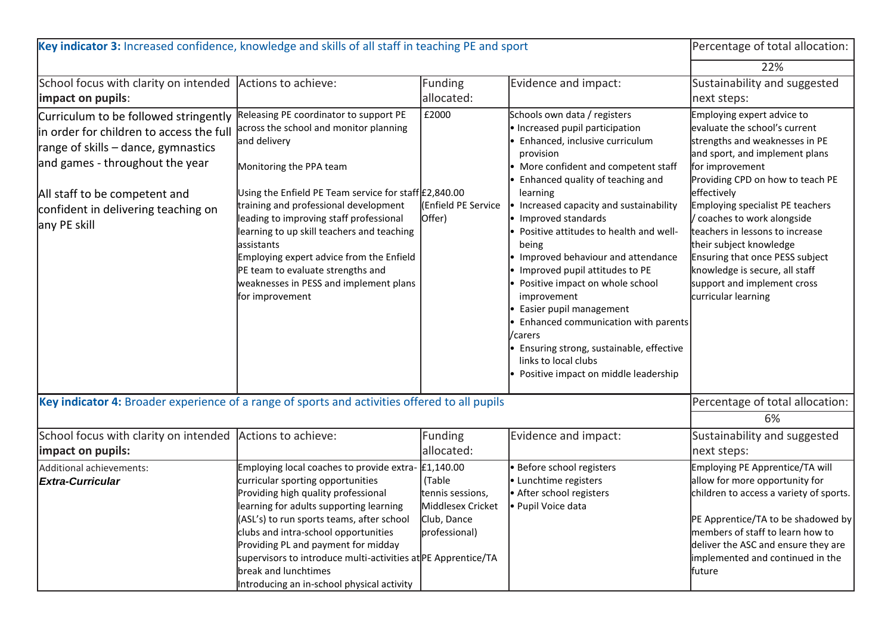| Key indicator 3: Increased confidence, knowledge and skills of all staff in teaching PE and sport                                                                                                                                                   |                                                                                                                                                                                                                                                                                                                                                                                                                                                                                    |                                                                                 |                                                                                                                                                                                                                                                                                                                                                                                                                                                                                                                                                                                                                                                               | Percentage of total allocation:                                                                                                                                                                                                                                                                                                                                                                                                                                   |
|-----------------------------------------------------------------------------------------------------------------------------------------------------------------------------------------------------------------------------------------------------|------------------------------------------------------------------------------------------------------------------------------------------------------------------------------------------------------------------------------------------------------------------------------------------------------------------------------------------------------------------------------------------------------------------------------------------------------------------------------------|---------------------------------------------------------------------------------|---------------------------------------------------------------------------------------------------------------------------------------------------------------------------------------------------------------------------------------------------------------------------------------------------------------------------------------------------------------------------------------------------------------------------------------------------------------------------------------------------------------------------------------------------------------------------------------------------------------------------------------------------------------|-------------------------------------------------------------------------------------------------------------------------------------------------------------------------------------------------------------------------------------------------------------------------------------------------------------------------------------------------------------------------------------------------------------------------------------------------------------------|
|                                                                                                                                                                                                                                                     |                                                                                                                                                                                                                                                                                                                                                                                                                                                                                    |                                                                                 |                                                                                                                                                                                                                                                                                                                                                                                                                                                                                                                                                                                                                                                               | 22%                                                                                                                                                                                                                                                                                                                                                                                                                                                               |
| School focus with clarity on intended<br>impact on pupils:                                                                                                                                                                                          | Actions to achieve:                                                                                                                                                                                                                                                                                                                                                                                                                                                                | Funding<br>allocated:                                                           | Evidence and impact:                                                                                                                                                                                                                                                                                                                                                                                                                                                                                                                                                                                                                                          | Sustainability and suggested<br>next steps:                                                                                                                                                                                                                                                                                                                                                                                                                       |
| Curriculum to be followed stringently<br>in order for children to access the full<br>range of skills – dance, gymnastics<br>and games - throughout the year<br>All staff to be competent and<br>confident in delivering teaching on<br>any PE skill | Releasing PE coordinator to support PE<br>across the school and monitor planning<br>and delivery<br>Monitoring the PPA team<br>Using the Enfield PE Team service for staff £2,840.00<br>training and professional development<br>leading to improving staff professional<br>learning to up skill teachers and teaching<br>assistants<br>Employing expert advice from the Enfield<br>PE team to evaluate strengths and<br>weaknesses in PESS and implement plans<br>for improvement | £2000<br><b>Enfield PE Service</b><br>Offer)                                    | Schools own data / registers<br>· Increased pupil participation<br>· Enhanced, inclusive curriculum<br>provision<br>• More confident and competent staff<br>• Enhanced quality of teaching and<br>learning<br>Increased capacity and sustainability<br>• Improved standards<br>· Positive attitudes to health and well-<br>being<br>Improved behaviour and attendance<br>• Improved pupil attitudes to PE<br>· Positive impact on whole school<br>improvement<br>• Easier pupil management<br>• Enhanced communication with parents<br>/carers<br>· Ensuring strong, sustainable, effective<br>links to local clubs<br>· Positive impact on middle leadership | Employing expert advice to<br>evaluate the school's current<br>strengths and weaknesses in PE<br>and sport, and implement plans<br>for improvement<br>Providing CPD on how to teach PE<br>effectively<br>Employing specialist PE teachers<br>/ coaches to work alongside<br>teachers in lessons to increase<br>their subject knowledge<br>Ensuring that once PESS subject<br>knowledge is secure, all staff<br>support and implement cross<br>curricular learning |
| Key indicator 4: Broader experience of a range of sports and activities offered to all pupils                                                                                                                                                       |                                                                                                                                                                                                                                                                                                                                                                                                                                                                                    |                                                                                 |                                                                                                                                                                                                                                                                                                                                                                                                                                                                                                                                                                                                                                                               | Percentage of total allocation:<br>6%                                                                                                                                                                                                                                                                                                                                                                                                                             |
| School focus with clarity on intended<br>impact on pupils:                                                                                                                                                                                          | Actions to achieve:                                                                                                                                                                                                                                                                                                                                                                                                                                                                | Funding<br>allocated:                                                           | Evidence and impact:                                                                                                                                                                                                                                                                                                                                                                                                                                                                                                                                                                                                                                          | Sustainability and suggested<br>next steps:                                                                                                                                                                                                                                                                                                                                                                                                                       |
| Additional achievements:<br><b>Extra-Curricular</b>                                                                                                                                                                                                 | Employing local coaches to provide extra- $\text{\pounds}1,140.00$<br>curricular sporting opportunities<br>Providing high quality professional<br>learning for adults supporting learning<br>(ASL's) to run sports teams, after school<br>clubs and intra-school opportunities<br>Providing PL and payment for midday<br>supervisors to introduce multi-activities at PE Apprentice/TA<br>break and lunchtimes<br>Introducing an in-school physical activity                       | (Table<br>tennis sessions,<br>Middlesex Cricket<br>Club, Dance<br>professional) | <b>Before school registers</b><br>• Lunchtime registers<br>• After school registers<br>· Pupil Voice data                                                                                                                                                                                                                                                                                                                                                                                                                                                                                                                                                     | Employing PE Apprentice/TA will<br>allow for more opportunity for<br>children to access a variety of sports.<br>PE Apprentice/TA to be shadowed by<br>members of staff to learn how to<br>deliver the ASC and ensure they are<br>implemented and continued in the<br>future                                                                                                                                                                                       |